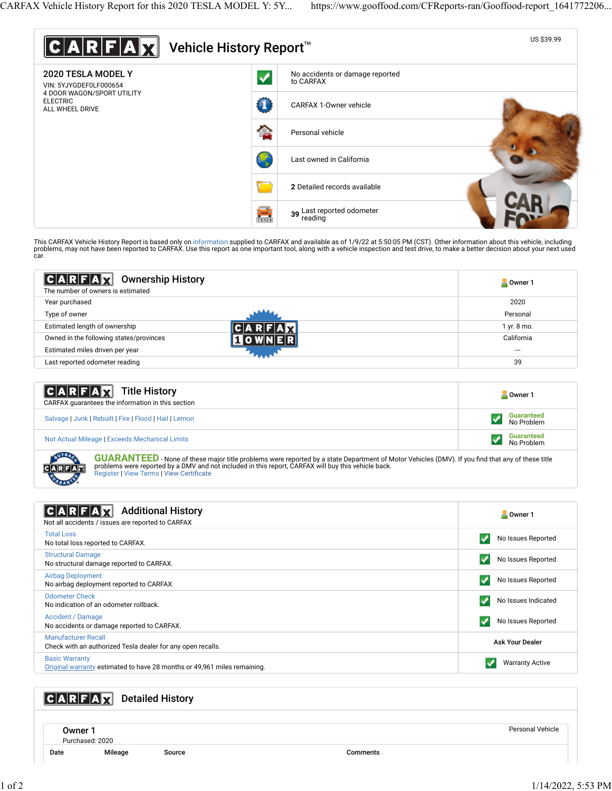

This CARFAX Vehicle History Report is based only on [information](http://www.carfax.com/company/vhr-data-sources) supplied to CARFAX and available as of 1/9/22 at 5:50:05 PM (CST). Other information about this vehicle, including<br>problems, may not have been reported to CAR car.

| $ C A R F A \chi $<br><b>Ownership History</b><br>The number of owners is estimated | Owner 1     |
|-------------------------------------------------------------------------------------|-------------|
| Year purchased                                                                      | 2020        |
| Type of owner                                                                       | Personal    |
| Estimated length of ownership                                                       | 1 yr. 8 mo. |
| Owned in the following states/provinces                                             | California  |
| Estimated miles driven per year                                                     | ---         |
| Last reported odometer reading                                                      | 39          |
|                                                                                     |             |

| <b>CARFAX</b> Title History<br>CARFAX guarantees the information in this section | Owner 1                         |
|----------------------------------------------------------------------------------|---------------------------------|
| Salvage   Junk   Rebuilt   Fire   Flood   Hail   Lemon                           | <b>Guaranteed</b><br>No Problem |
| Not Actual Mileage   Exceeds Mechanical Limits                                   | <b>Guaranteed</b><br>No Problem |

**GUARANTEED** - None of these major title problems were reported by a state Department of Motor Vehicles (DMV). If you find that any of these title problems were reported by a DMV and not included in this report, CARFAX will buy this vehicle back.<br>[Register](https://www.carfax.com/Service/bbg) | [View Terms](http://www.carfaxonline.com/legal/bbgTerms) | [View Certi](https://www.gooffood.com/CFReports-ran/Gooffood-report_1641772206.html)ficate

| <b>Additional History</b><br>Not all accidents / issues are reported to CARFAX                    | Owner 1                 |
|---------------------------------------------------------------------------------------------------|-------------------------|
| <b>Total Loss</b><br>No total loss reported to CARFAX.                                            | No Issues Reported      |
| <b>Structural Damage</b><br>No structural damage reported to CARFAX.                              | No Issues Reported      |
| <b>Airbag Deployment</b><br>No airbag deployment reported to CARFAX.                              | No Issues Reported<br>v |
| <b>Odometer Check</b><br>No indication of an odometer rollback.                                   | No Issues Indicated     |
| Accident / Damage<br>No accidents or damage reported to CARFAX.                                   | No Issues Reported      |
| <b>Manufacturer Recall</b><br>Check with an authorized Tesla dealer for any open recalls.         | <b>Ask Your Dealer</b>  |
| <b>Basic Warranty</b><br>Original warranty estimated to have 28 months or 49,961 miles remaining. | <b>Warranty Active</b>  |

## **CARFAX** Detailed History

Owner 1 Purchased: 2020

Date Mileage Source Comments